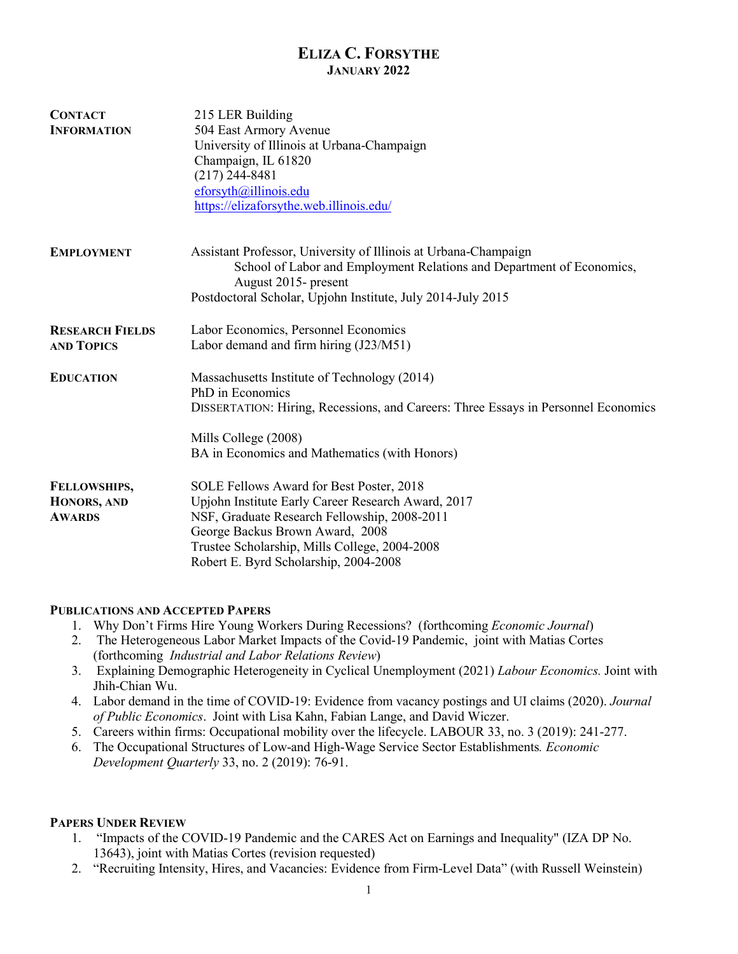## **ELIZA C. FORSYTHE JANUARY 2022**

| <b>CONTACT</b><br><b>INFORMATION</b>         | 215 LER Building<br>504 East Armory Avenue<br>University of Illinois at Urbana-Champaign<br>Champaign, IL 61820<br>$(217)$ 244-8481<br>eforsyth@illinois.edu<br>https://elizaforsythe.web.illinois.edu/                                                                     |
|----------------------------------------------|-----------------------------------------------------------------------------------------------------------------------------------------------------------------------------------------------------------------------------------------------------------------------------|
| <b>EMPLOYMENT</b>                            | Assistant Professor, University of Illinois at Urbana-Champaign<br>School of Labor and Employment Relations and Department of Economics,<br>August 2015- present<br>Postdoctoral Scholar, Upjohn Institute, July 2014-July 2015                                             |
| <b>RESEARCH FIELDS</b><br><b>AND TOPICS</b>  | Labor Economics, Personnel Economics<br>Labor demand and firm hiring (J23/M51)                                                                                                                                                                                              |
| <b>EDUCATION</b>                             | Massachusetts Institute of Technology (2014)<br>PhD in Economics<br>DISSERTATION: Hiring, Recessions, and Careers: Three Essays in Personnel Economics<br>Mills College (2008)<br>BA in Economics and Mathematics (with Honors)                                             |
| FELLOWSHIPS,<br>HONORS, AND<br><b>AWARDS</b> | SOLE Fellows Award for Best Poster, 2018<br>Upjohn Institute Early Career Research Award, 2017<br>NSF, Graduate Research Fellowship, 2008-2011<br>George Backus Brown Award, 2008<br>Trustee Scholarship, Mills College, 2004-2008<br>Robert E. Byrd Scholarship, 2004-2008 |

#### **PUBLICATIONS AND ACCEPTED PAPERS**

- 1. Why Don't Firms Hire Young Workers During Recessions? (forthcoming *Economic Journal*)
- 2. The Heterogeneous Labor Market Impacts of the Covid-19 Pandemic, joint with Matias Cortes (forthcoming *Industrial and Labor Relations Review*)
- 3. Explaining Demographic Heterogeneity in Cyclical Unemployment (2021) *Labour Economics.* Joint with Jhih-Chian Wu.
- 4. Labor demand in the time of COVID-19: Evidence from vacancy postings and UI claims (2020). *Journal of Public Economics*. Joint with Lisa Kahn, Fabian Lange, and David Wiczer.
- 5. Careers within firms: Occupational mobility over the lifecycle. LABOUR 33, no. 3 (2019): 241-277.
- 6. The Occupational Structures of Low-and High-Wage Service Sector Establishments*. Economic Development Quarterly* 33, no. 2 (2019): 76-91.

#### **PAPERS UNDER REVIEW**

- 1. "Impacts of the COVID-19 Pandemic and the CARES Act on Earnings and Inequality" (IZA DP No. 13643), joint with Matias Cortes (revision requested)
- 2. "Recruiting Intensity, Hires, and Vacancies: Evidence from Firm-Level Data" (with Russell Weinstein)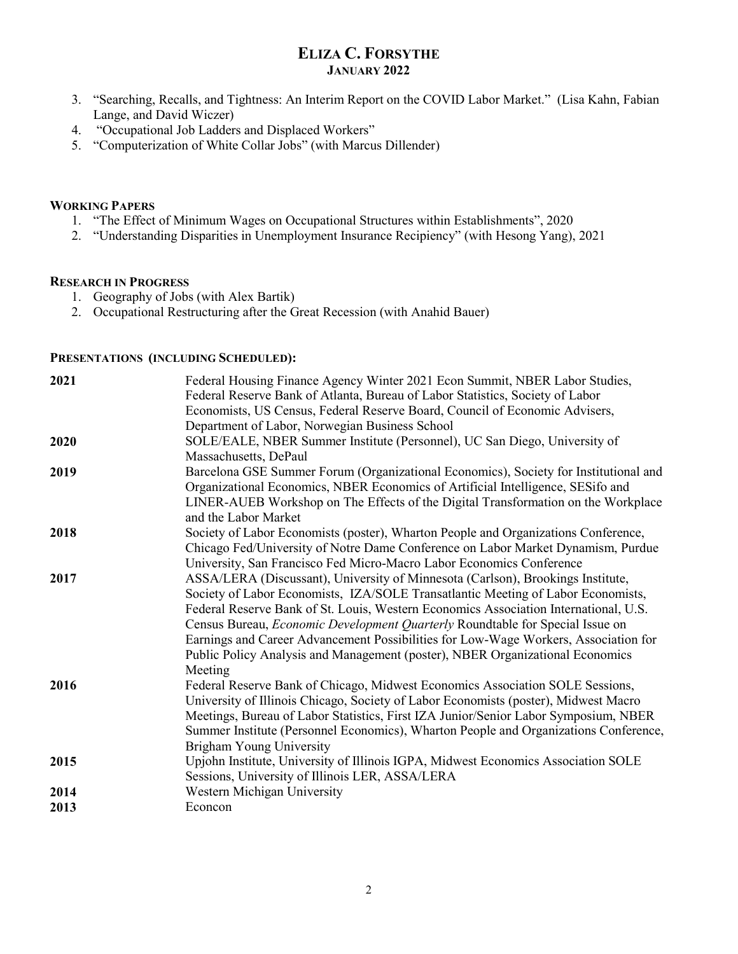## **ELIZA C. FORSYTHE JANUARY 2022**

- 3. "Searching, Recalls, and Tightness: An Interim Report on the COVID Labor Market." (Lisa Kahn, Fabian Lange, and David Wiczer)
- 4. "Occupational Job Ladders and Displaced Workers"
- 5. "Computerization of White Collar Jobs" (with Marcus Dillender)

#### **WORKING PAPERS**

- 1. "The Effect of Minimum Wages on Occupational Structures within Establishments", 2020
- 2. "Understanding Disparities in Unemployment Insurance Recipiency" (with Hesong Yang), 2021

#### **RESEARCH IN PROGRESS**

- 1. Geography of Jobs (with Alex Bartik)
- 2. Occupational Restructuring after the Great Recession (with Anahid Bauer)

### **PRESENTATIONS (INCLUDING SCHEDULED):**

| 2021         | Federal Housing Finance Agency Winter 2021 Econ Summit, NBER Labor Studies,<br>Federal Reserve Bank of Atlanta, Bureau of Labor Statistics, Society of Labor<br>Economists, US Census, Federal Reserve Board, Council of Economic Advisers,<br>Department of Labor, Norwegian Business School                                                                                                                                                                                                                                          |
|--------------|----------------------------------------------------------------------------------------------------------------------------------------------------------------------------------------------------------------------------------------------------------------------------------------------------------------------------------------------------------------------------------------------------------------------------------------------------------------------------------------------------------------------------------------|
| 2020         | SOLE/EALE, NBER Summer Institute (Personnel), UC San Diego, University of<br>Massachusetts, DePaul                                                                                                                                                                                                                                                                                                                                                                                                                                     |
| 2019         | Barcelona GSE Summer Forum (Organizational Economics), Society for Institutional and<br>Organizational Economics, NBER Economics of Artificial Intelligence, SESifo and<br>LINER-AUEB Workshop on The Effects of the Digital Transformation on the Workplace<br>and the Labor Market                                                                                                                                                                                                                                                   |
| 2018         | Society of Labor Economists (poster), Wharton People and Organizations Conference,<br>Chicago Fed/University of Notre Dame Conference on Labor Market Dynamism, Purdue<br>University, San Francisco Fed Micro-Macro Labor Economics Conference                                                                                                                                                                                                                                                                                         |
| 2017         | ASSA/LERA (Discussant), University of Minnesota (Carlson), Brookings Institute,<br>Society of Labor Economists, IZA/SOLE Transatlantic Meeting of Labor Economists,<br>Federal Reserve Bank of St. Louis, Western Economics Association International, U.S.<br>Census Bureau, <i>Economic Development Quarterly</i> Roundtable for Special Issue on<br>Earnings and Career Advancement Possibilities for Low-Wage Workers, Association for<br>Public Policy Analysis and Management (poster), NBER Organizational Economics<br>Meeting |
| 2016         | Federal Reserve Bank of Chicago, Midwest Economics Association SOLE Sessions,<br>University of Illinois Chicago, Society of Labor Economists (poster), Midwest Macro<br>Meetings, Bureau of Labor Statistics, First IZA Junior/Senior Labor Symposium, NBER<br>Summer Institute (Personnel Economics), Wharton People and Organizations Conference,<br><b>Brigham Young University</b>                                                                                                                                                 |
| 2015         | Upjohn Institute, University of Illinois IGPA, Midwest Economics Association SOLE<br>Sessions, University of Illinois LER, ASSA/LERA                                                                                                                                                                                                                                                                                                                                                                                                   |
| 2014<br>2013 | Western Michigan University<br>Econcon                                                                                                                                                                                                                                                                                                                                                                                                                                                                                                 |